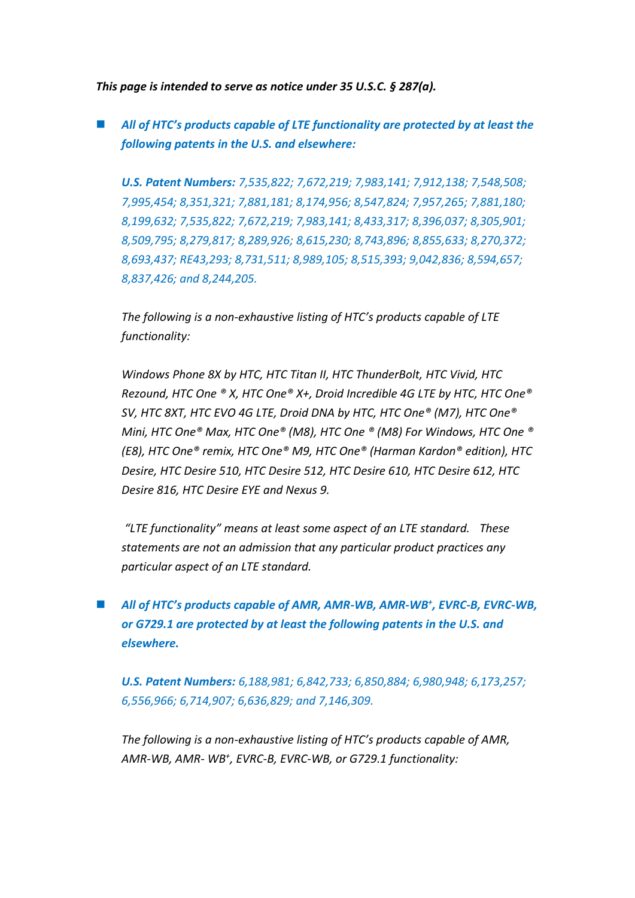*This page is intended to serve as notice under 35 U.S.C. § 287(a).*

 *All of HTC's products capable of LTE functionality are protected by at least the following patents in the U.S. and elsewhere:*

*U.S. Patent Numbers: 7,535,822; 7,672,219; 7,983,141; 7,912,138; 7,548,508; 7,995,454; 8,351,321; 7,881,181; 8,174,956; 8,547,824; 7,957,265; 7,881,180; 8,199,632; 7,535,822; 7,672,219; 7,983,141; 8,433,317; 8,396,037; 8,305,901; 8,509,795; 8,279,817; 8,289,926; 8,615,230; 8,743,896; 8,855,633; 8,270,372; 8,693,437; RE43,293; 8,731,511; 8,989,105; 8,515,393; 9,042,836; 8,594,657; 8,837,426; and 8,244,205.*

*The following is a non-exhaustive listing of HTC's products capable of LTE functionality:* 

*Windows Phone 8X by HTC, HTC Titan II, HTC ThunderBolt, HTC Vivid, HTC Rezound, HTC One ® X, HTC One® X+, Droid Incredible 4G LTE by HTC, HTC One® SV, HTC 8XT, HTC EVO 4G LTE, Droid DNA by HTC, HTC One® (M7), HTC One® Mini, HTC One® Max, HTC One® (M8), HTC One ® (M8) For Windows, HTC One ® (E8), HTC One® remix, HTC One® M9, HTC One® (Harman Kardon® edition), HTC Desire, HTC Desire 510, HTC Desire 512, HTC Desire 610, HTC Desire 612, HTC Desire 816, HTC Desire EYE and Nexus 9.*

*"LTE functionality" means at least some aspect of an LTE standard. These statements are not an admission that any particular product practices any particular aspect of an LTE standard.*

■ *All of HTC*<sup>*'s products capable of AMR, AMR-WB, AMR-WB<sup>+</sup>, EVRC-B, EVRC-WB,*</sup> *or G729.1 are protected by at least the following patents in the U.S. and elsewhere.*

*U.S. Patent Numbers: 6,188,981; 6,842,733; 6,850,884; 6,980,948; 6,173,257; 6,556,966; 6,714,907; 6,636,829; and 7,146,309.*

*The following is a non-exhaustive listing of HTC's products capable of AMR, AMR-WB, AMR- WB<sup>+</sup> , EVRC-B, EVRC-WB, or G729.1 functionality:*